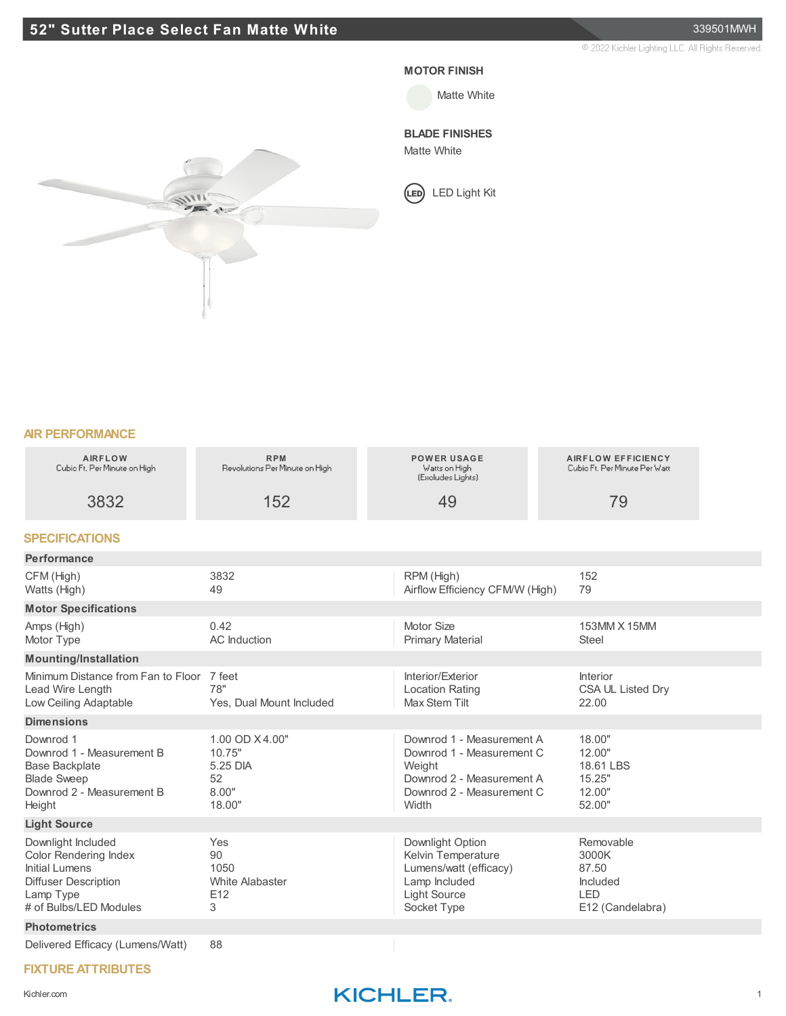## **52" Sutter Place Select Fan Matte White** 339501MWH

2022 Kichler Lighting LLC. All Rights Reserved.



#### **MOTOR FINISH**

Matte White

### **BLADE FINISHES**

Matte White

LED Light Kit

#### **AIR PERFORMANCE**

| <b>AIRFLOW</b><br>Cubio Ft. Per Minute on High                                                                                             | <b>RPM</b><br>Revolutions Per Minute on High                  | <b>POWER USAGE</b><br>Watts on High<br>(Excludes Lights)                                                                            | <b>AIRFLOW EFFICIENCY</b><br>Cubio Ft, Per Minute Per Watt                |  |
|--------------------------------------------------------------------------------------------------------------------------------------------|---------------------------------------------------------------|-------------------------------------------------------------------------------------------------------------------------------------|---------------------------------------------------------------------------|--|
| 3832                                                                                                                                       | 152                                                           | 49                                                                                                                                  | 79                                                                        |  |
| <b>SPECIFICATIONS</b>                                                                                                                      |                                                               |                                                                                                                                     |                                                                           |  |
| Performance                                                                                                                                |                                                               |                                                                                                                                     |                                                                           |  |
| CFM (High)<br>Watts (High)                                                                                                                 | 3832<br>49                                                    | RPM (High)<br>Airflow Efficiency CFM/W (High)                                                                                       | 152<br>79                                                                 |  |
| <b>Motor Specifications</b>                                                                                                                |                                                               |                                                                                                                                     |                                                                           |  |
| Amps (High)<br>Motor Type                                                                                                                  | 0.42<br>AC Induction                                          | Motor Size<br><b>Primary Material</b>                                                                                               | 153MM X 15MM<br><b>Steel</b>                                              |  |
| <b>Mounting/Installation</b>                                                                                                               |                                                               |                                                                                                                                     |                                                                           |  |
| Minimum Distance from Fan to Floor<br>Lead Wire Length<br>Low Ceiling Adaptable                                                            | 7 feet<br>78"<br>Yes, Dual Mount Included                     | Interior/Exterior<br><b>Location Rating</b><br>Max Stem Tilt                                                                        | Interior<br>CSA UL Listed Dry<br>22.00                                    |  |
| <b>Dimensions</b>                                                                                                                          |                                                               |                                                                                                                                     |                                                                           |  |
| Downrod 1<br>Downrod 1 - Measurement B<br><b>Base Backplate</b><br><b>Blade Sweep</b><br>Downrod 2 - Measurement B<br>Height               | 1.00 OD X4.00"<br>10.75"<br>5.25 DIA<br>52<br>8.00"<br>18.00" | Downrod 1 - Measurement A<br>Downrod 1 - Measurement C<br>Weight<br>Downrod 2 - Measurement A<br>Downrod 2 - Measurement C<br>Width | 18.00"<br>12.00"<br>18.61 LBS<br>15.25"<br>12.00"<br>52.00"               |  |
| <b>Light Source</b>                                                                                                                        |                                                               |                                                                                                                                     |                                                                           |  |
| Downlight Included<br><b>Color Rendering Index</b><br>Initial Lumens<br><b>Diffuser Description</b><br>Lamp Type<br># of Bulbs/LED Modules | Yes<br>90<br>1050<br><b>White Alabaster</b><br>E12<br>3       | Downlight Option<br>Kelvin Temperature<br>Lumens/watt (efficacy)<br>Lamp Included<br><b>Light Source</b><br>Socket Type             | Removable<br>3000K<br>87.50<br>Included<br><b>LED</b><br>E12 (Candelabra) |  |
| <b>Photometrics</b>                                                                                                                        |                                                               |                                                                                                                                     |                                                                           |  |
| Delivered Efficacy (Lumens/Watt)                                                                                                           | 88                                                            |                                                                                                                                     |                                                                           |  |

#### **FIXTURE ATTRIBUTES**

## Kichler.com **KICHLER**